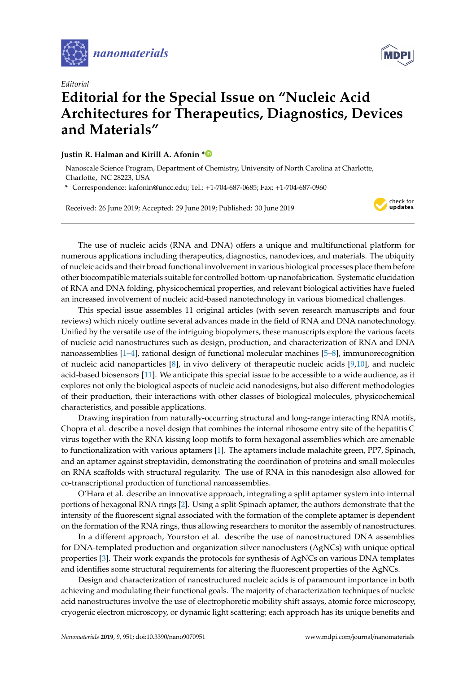



## *Editorial* **Editorial for the Special Issue on "Nucleic Acid Architectures for Therapeutics, Diagnostics, Devices and Materials"**

## **Justin R. Halman and Kirill A. Afonin [\\*](https://orcid.org/0000-0002-6917-3183)**

Nanoscale Science Program, Department of Chemistry, University of North Carolina at Charlotte, Charlotte, NC 28223, USA

**\*** Correspondence: kafonin@uncc.edu; Tel.: +1-704-687-0685; Fax: +1-704-687-0960

Received: 26 June 2019; Accepted: 29 June 2019; Published: 30 June 2019



The use of nucleic acids (RNA and DNA) offers a unique and multifunctional platform for numerous applications including therapeutics, diagnostics, nanodevices, and materials. The ubiquity of nucleic acids and their broad functional involvement in various biological processes place them before other biocompatible materials suitable for controlled bottom-up nanofabrication. Systematic elucidation of RNA and DNA folding, physicochemical properties, and relevant biological activities have fueled an increased involvement of nucleic acid-based nanotechnology in various biomedical challenges.

This special issue assembles 11 original articles (with seven research manuscripts and four reviews) which nicely outline several advances made in the field of RNA and DNA nanotechnology. Unified by the versatile use of the intriguing biopolymers, these manuscripts explore the various facets of nucleic acid nanostructures such as design, production, and characterization of RNA and DNA nanoassemblies [\[1–](#page-2-0)[4\]](#page-2-1), rational design of functional molecular machines [\[5](#page-2-2)[–8\]](#page-2-3), immunorecognition of nucleic acid nanoparticles [\[8\]](#page-2-3), in vivo delivery of therapeutic nucleic acids [\[9,](#page-2-4)[10\]](#page-2-5), and nucleic acid-based biosensors [\[11\]](#page-2-6). We anticipate this special issue to be accessible to a wide audience, as it explores not only the biological aspects of nucleic acid nanodesigns, but also different methodologies of their production, their interactions with other classes of biological molecules, physicochemical characteristics, and possible applications.

Drawing inspiration from naturally-occurring structural and long-range interacting RNA motifs, Chopra et al. describe a novel design that combines the internal ribosome entry site of the hepatitis C virus together with the RNA kissing loop motifs to form hexagonal assemblies which are amenable to functionalization with various aptamers [\[1\]](#page-2-0). The aptamers include malachite green, PP7, Spinach, and an aptamer against streptavidin, demonstrating the coordination of proteins and small molecules on RNA scaffolds with structural regularity. The use of RNA in this nanodesign also allowed for co-transcriptional production of functional nanoassemblies.

O'Hara et al. describe an innovative approach, integrating a split aptamer system into internal portions of hexagonal RNA rings [\[2\]](#page-2-7). Using a split-Spinach aptamer, the authors demonstrate that the intensity of the fluorescent signal associated with the formation of the complete aptamer is dependent on the formation of the RNA rings, thus allowing researchers to monitor the assembly of nanostructures.

In a different approach, Yourston et al. describe the use of nanostructured DNA assemblies for DNA-templated production and organization silver nanoclusters (AgNCs) with unique optical properties [\[3\]](#page-2-8). Their work expands the protocols for synthesis of AgNCs on various DNA templates and identifies some structural requirements for altering the fluorescent properties of the AgNCs.

Design and characterization of nanostructured nucleic acids is of paramount importance in both achieving and modulating their functional goals. The majority of characterization techniques of nucleic acid nanostructures involve the use of electrophoretic mobility shift assays, atomic force microscopy, cryogenic electron microscopy, or dynamic light scattering; each approach has its unique benefits and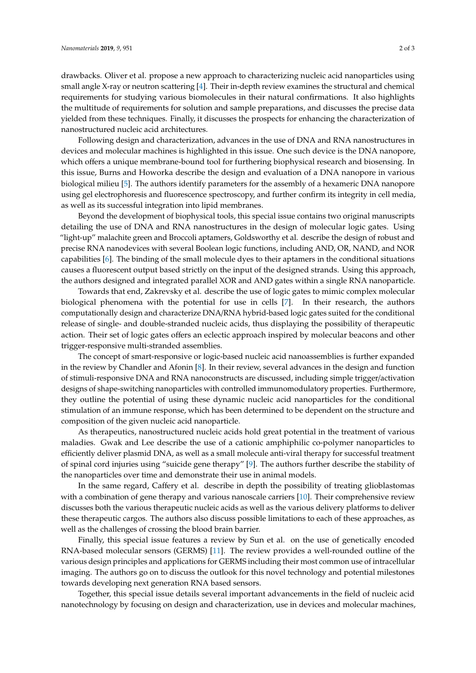drawbacks. Oliver et al. propose a new approach to characterizing nucleic acid nanoparticles using small angle X-ray or neutron scattering [\[4\]](#page-2-1). Their in-depth review examines the structural and chemical requirements for studying various biomolecules in their natural confirmations. It also highlights the multitude of requirements for solution and sample preparations, and discusses the precise data yielded from these techniques. Finally, it discusses the prospects for enhancing the characterization of nanostructured nucleic acid architectures.

Following design and characterization, advances in the use of DNA and RNA nanostructures in devices and molecular machines is highlighted in this issue. One such device is the DNA nanopore, which offers a unique membrane-bound tool for furthering biophysical research and biosensing. In this issue, Burns and Howorka describe the design and evaluation of a DNA nanopore in various biological milieu [\[5\]](#page-2-2). The authors identify parameters for the assembly of a hexameric DNA nanopore using gel electrophoresis and fluorescence spectroscopy, and further confirm its integrity in cell media, as well as its successful integration into lipid membranes.

Beyond the development of biophysical tools, this special issue contains two original manuscripts detailing the use of DNA and RNA nanostructures in the design of molecular logic gates. Using "light-up" malachite green and Broccoli aptamers, Goldsworthy et al. describe the design of robust and precise RNA nanodevices with several Boolean logic functions, including AND, OR, NAND, and NOR capabilities [\[6\]](#page-2-9). The binding of the small molecule dyes to their aptamers in the conditional situations causes a fluorescent output based strictly on the input of the designed strands. Using this approach, the authors designed and integrated parallel XOR and AND gates within a single RNA nanoparticle.

Towards that end, Zakrevsky et al. describe the use of logic gates to mimic complex molecular biological phenomena with the potential for use in cells [\[7\]](#page-2-10). In their research, the authors computationally design and characterize DNA/RNA hybrid-based logic gates suited for the conditional release of single- and double-stranded nucleic acids, thus displaying the possibility of therapeutic action. Their set of logic gates offers an eclectic approach inspired by molecular beacons and other trigger-responsive multi-stranded assemblies.

The concept of smart-responsive or logic-based nucleic acid nanoassemblies is further expanded in the review by Chandler and Afonin [\[8\]](#page-2-3). In their review, several advances in the design and function of stimuli-responsive DNA and RNA nanoconstructs are discussed, including simple trigger/activation designs of shape-switching nanoparticles with controlled immunomodulatory properties. Furthermore, they outline the potential of using these dynamic nucleic acid nanoparticles for the conditional stimulation of an immune response, which has been determined to be dependent on the structure and composition of the given nucleic acid nanoparticle.

As therapeutics, nanostructured nucleic acids hold great potential in the treatment of various maladies. Gwak and Lee describe the use of a cationic amphiphilic co-polymer nanoparticles to efficiently deliver plasmid DNA, as well as a small molecule anti-viral therapy for successful treatment of spinal cord injuries using "suicide gene therapy" [\[9\]](#page-2-4). The authors further describe the stability of the nanoparticles over time and demonstrate their use in animal models.

In the same regard, Caffery et al. describe in depth the possibility of treating glioblastomas with a combination of gene therapy and various nanoscale carriers [\[10\]](#page-2-5). Their comprehensive review discusses both the various therapeutic nucleic acids as well as the various delivery platforms to deliver these therapeutic cargos. The authors also discuss possible limitations to each of these approaches, as well as the challenges of crossing the blood brain barrier.

Finally, this special issue features a review by Sun et al. on the use of genetically encoded RNA-based molecular sensors (GERMS) [\[11\]](#page-2-6). The review provides a well-rounded outline of the various design principles and applications for GERMS including their most common use of intracellular imaging. The authors go on to discuss the outlook for this novel technology and potential milestones towards developing next generation RNA based sensors.

Together, this special issue details several important advancements in the field of nucleic acid nanotechnology by focusing on design and characterization, use in devices and molecular machines,